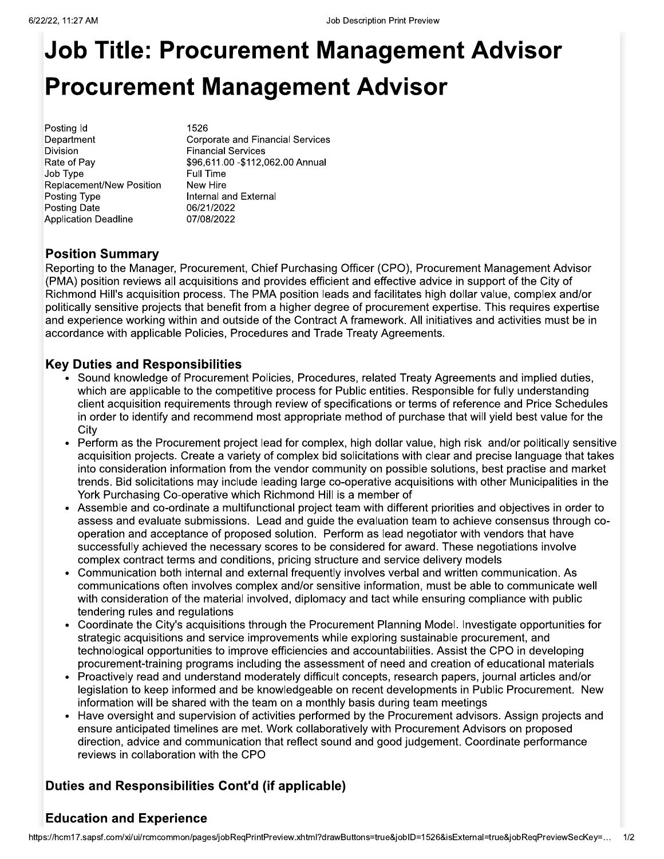# **Job Title: Procurement Management Advisor Procurement Management Advisor**

Posting Id Department Division Rate of Pay Job Type Replacement/New Position Posting Type Posting Date **Application Deadline** 

1526 **Corporate and Financial Services Financial Services** \$96,611.00 - \$112,062.00 Annual Full Time New Hire Internal and External 06/21/2022 07/08/2022

# **Position Summary**

Reporting to the Manager, Procurement, Chief Purchasing Officer (CPO), Procurement Management Advisor (PMA) position reviews all acquisitions and provides efficient and effective advice in support of the City of Richmond Hill's acquisition process. The PMA position leads and facilitates high dollar value, complex and/or politically sensitive projects that benefit from a higher degree of procurement expertise. This requires expertise and experience working within and outside of the Contract A framework. All initiatives and activities must be in accordance with applicable Policies, Procedures and Trade Treaty Agreements.

#### **Key Duties and Responsibilities**

- Sound knowledge of Procurement Policies, Procedures, related Treaty Agreements and implied duties, which are applicable to the competitive process for Public entities. Responsible for fully understanding client acquisition requirements through review of specifications or terms of reference and Price Schedules in order to identify and recommend most appropriate method of purchase that will yield best value for the City
- Perform as the Procurement project lead for complex, high dollar value, high risk and/or politically sensitive acquisition projects. Create a variety of complex bid solicitations with clear and precise language that takes into consideration information from the vendor community on possible solutions, best practise and market trends. Bid solicitations may include leading large co-operative acquisitions with other Municipalities in the York Purchasing Co-operative which Richmond Hill is a member of
- Assemble and co-ordinate a multifunctional project team with different priorities and objectives in order to assess and evaluate submissions. Lead and quide the evaluation team to achieve consensus through cooperation and acceptance of proposed solution. Perform as lead negotiator with vendors that have successfully achieved the necessary scores to be considered for award. These negotiations involve complex contract terms and conditions, pricing structure and service delivery models
- Communication both internal and external frequently involves verbal and written communication. As communications often involves complex and/or sensitive information, must be able to communicate well with consideration of the material involved, diplomacy and tact while ensuring compliance with public tendering rules and regulations
- Coordinate the City's acquisitions through the Procurement Planning Model. Investigate opportunities for strategic acquisitions and service improvements while exploring sustainable procurement, and technological opportunities to improve efficiencies and accountabilities. Assist the CPO in developing procurement-training programs including the assessment of need and creation of educational materials
- Proactively read and understand moderately difficult concepts, research papers, journal articles and/or legislation to keep informed and be knowledgeable on recent developments in Public Procurement. New information will be shared with the team on a monthly basis during team meetings
- Have oversight and supervision of activities performed by the Procurement advisors. Assign projects and ensure anticipated timelines are met. Work collaboratively with Procurement Advisors on proposed direction, advice and communication that reflect sound and good judgement. Coordinate performance reviews in collaboration with the CPO

# Duties and Responsibilities Cont'd (if applicable)

# **Education and Experience**